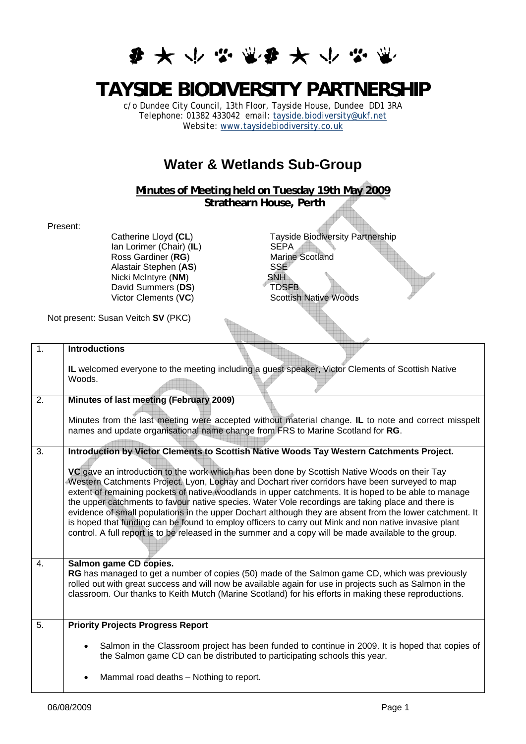## **多大小学堂多大小学堂**

## **TAYSIDE BIODIVERSITY PARTNERSHIP**

c/o Dundee City Council, 13th Floor, Tayside House, Dundee DD1 3RA Telephone: 01382 433042 email: [tayside.biodiversity@ukf.net](mailto:tayside.biodiversity@ukf.net) Website: [www.taysidebiodiversity.co.uk](http://www.taysidebiodiversity.co.uk/)

## **Water & Wetlands Sub-Group**

**Minutes of Meeting held on Tuesday 19th May 2009 Strathearn House, Perth** 

Present:

Ian Lorimer (Chair) (IL) Ross Gardiner (RG) Marine Scotland<br>Alastair Stephen (AS) SSE Alastair Stephen (**AS**) SSE<br>Nicki McIntyre (**NM**) SNH **Nicki McIntyre (NM)** David Summers (DS) TDSFB Victor Clements (VC) Scottish Native Woods

Catherine Lloyd (CL)<br>
Ian Lorimer (Chair) (IL)<br>
SEPA<br>
SEPA

Not present: Susan Veitch **SV** (PKC)

| 1. | <b>Introductions</b>                                                                                                                                                                                                                                                                                                                                                                                                                                                                                                                                                                                                                                                                                                                                                                                                                      |
|----|-------------------------------------------------------------------------------------------------------------------------------------------------------------------------------------------------------------------------------------------------------------------------------------------------------------------------------------------------------------------------------------------------------------------------------------------------------------------------------------------------------------------------------------------------------------------------------------------------------------------------------------------------------------------------------------------------------------------------------------------------------------------------------------------------------------------------------------------|
|    | IL welcomed everyone to the meeting including a guest speaker, Victor Clements of Scottish Native<br>Woods.                                                                                                                                                                                                                                                                                                                                                                                                                                                                                                                                                                                                                                                                                                                               |
| 2. | Minutes of last meeting (February 2009)                                                                                                                                                                                                                                                                                                                                                                                                                                                                                                                                                                                                                                                                                                                                                                                                   |
|    | Minutes from the last meeting were accepted without material change. IL to note and correct misspelt<br>names and update organisational name change from FRS to Marine Scotland for RG.                                                                                                                                                                                                                                                                                                                                                                                                                                                                                                                                                                                                                                                   |
| 3. | Introduction by Victor Clements to Scottish Native Woods Tay Western Catchments Project.<br>VC gave an introduction to the work which has been done by Scottish Native Woods on their Tay<br>Western Catchments Project. Lyon, Lochay and Dochart river corridors have been surveyed to map<br>extent of remaining pockets of native woodlands in upper catchments. It is hoped to be able to manage<br>the upper catchments to favour native species. Water Vole recordings are taking place and there is<br>evidence of small populations in the upper Dochart although they are absent from the lower catchment. It<br>is hoped that funding can be found to employ officers to carry out Mink and non native invasive plant<br>control. A full report is to be released in the summer and a copy will be made available to the group. |
| 4. | Salmon game CD copies.<br>RG has managed to get a number of copies (50) made of the Salmon game CD, which was previously<br>rolled out with great success and will now be available again for use in projects such as Salmon in the<br>classroom. Our thanks to Keith Mutch (Marine Scotland) for his efforts in making these reproductions.                                                                                                                                                                                                                                                                                                                                                                                                                                                                                              |
| 5. | <b>Priority Projects Progress Report</b>                                                                                                                                                                                                                                                                                                                                                                                                                                                                                                                                                                                                                                                                                                                                                                                                  |
|    | Salmon in the Classroom project has been funded to continue in 2009. It is hoped that copies of<br>the Salmon game CD can be distributed to participating schools this year.                                                                                                                                                                                                                                                                                                                                                                                                                                                                                                                                                                                                                                                              |
|    | Mammal road deaths - Nothing to report.                                                                                                                                                                                                                                                                                                                                                                                                                                                                                                                                                                                                                                                                                                                                                                                                   |